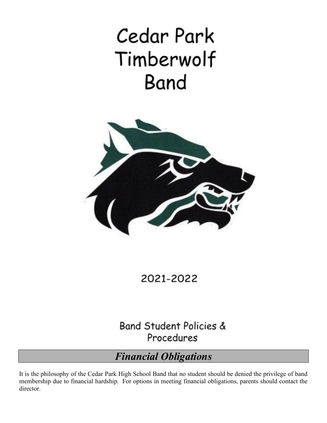# Cedar Park Timberwolf Band



2021-2022

**Band Student Policies &** Procedures

# *Financial Obligations*

It is the philosophy of the Cedar Park High School Band that no student should be denied the privilege of band membership due to financial hardship. For options in meeting financial obligations, parents should contact the director.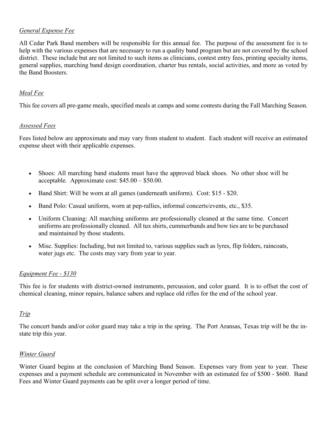#### *General Expense Fee*

All Cedar Park Band members will be responsible for this annual fee. The purpose of the assessment fee is to help with the various expenses that are necessary to run a quality band program but are not covered by the school district. These include but are not limited to such items as clinicians, contest entry fees, printing specialty items, general supplies, marching band design coordination, charter bus rentals, social activities, and more as voted by the Band Boosters.

#### *Meal Fee*

This fee covers all pre-game meals, specified meals at camps and some contests during the Fall Marching Season.

#### *Assessed Fees*

Fees listed below are approximate and may vary from student to student. Each student will receive an estimated expense sheet with their applicable expenses.

- Shoes: All marching band students must have the approved black shoes. No other shoe will be acceptable. Approximate cost: \$45.00 – \$50.00.
- Band Shirt: Will be worn at all games (underneath uniform). Cost: \$15 \$20.
- Band Polo: Casual uniform, worn at pep-rallies, informal concerts/events, etc., \$35.
- Uniform Cleaning: All marching uniforms are professionally cleaned at the same time. Concert uniforms are professionally cleaned. All tux shirts, cummerbunds and bow ties are to be purchased and maintained by those students.
- Misc. Supplies: Including, but not limited to, various supplies such as lyres, flip folders, raincoats, water jugs etc. The costs may vary from year to year.

#### *Equipment Fee - \$130*

This fee is for students with district-owned instruments, percussion, and color guard. It is to offset the cost of chemical cleaning, minor repairs, balance sabers and replace old rifles for the end of the school year.

#### *Trip*

The concert bands and/or color guard may take a trip in the spring. The Port Aransas, Texas trip will be the instate trip this year.

#### *Winter Guard*

Winter Guard begins at the conclusion of Marching Band Season. Expenses vary from year to year. These expenses and a payment schedule are communicated in November with an estimated fee of \$500 - \$600. Band Fees and Winter Guard payments can be split over a longer period of time.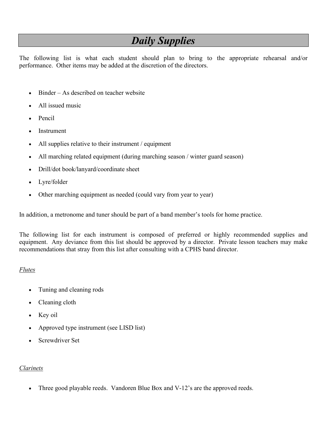# *Daily Supplies*

The following list is what each student should plan to bring to the appropriate rehearsal and/or performance. Other items may be added at the discretion of the directors.

- Binder As described on teacher website
- All issued music
- Pencil
- **Instrument**
- All supplies relative to their instrument / equipment
- All marching related equipment (during marching season / winter guard season)
- Drill/dot book/lanyard/coordinate sheet
- Lyre/folder
- Other marching equipment as needed (could vary from year to year)

In addition, a metronome and tuner should be part of a band member's tools for home practice.

The following list for each instrument is composed of preferred or highly recommended supplies and equipment. Any deviance from this list should be approved by a director. Private lesson teachers may make recommendations that stray from this list after consulting with a CPHS band director.

#### *Flutes*

- Tuning and cleaning rods
- Cleaning cloth
- Key oil
- Approved type instrument (see LISD list)
- Screwdriver Set

#### *Clarinets*

Three good playable reeds. Vandoren Blue Box and V-12's are the approved reeds.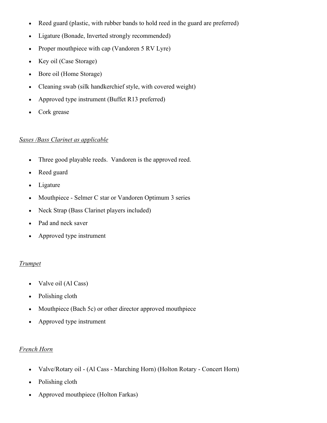- Reed guard (plastic, with rubber bands to hold reed in the guard are preferred)
- Ligature (Bonade, Inverted strongly recommended)
- Proper mouthpiece with cap (Vandoren 5 RV Lyre)
- Key oil (Case Storage)
- Bore oil (Home Storage)
- Cleaning swab (silk handkerchief style, with covered weight)
- Approved type instrument (Buffet R13 preferred)
- Cork grease

#### *Saxes /Bass Clarinet as applicable*

- Three good playable reeds. Vandoren is the approved reed.
- Reed guard
- Ligature
- Mouthpiece Selmer C star or Vandoren Optimum 3 series
- Neck Strap (Bass Clarinet players included)
- Pad and neck saver
- Approved type instrument

#### *Trumpet*

- Valve oil (Al Cass)
- Polishing cloth
- Mouthpiece (Bach 5c) or other director approved mouthpiece
- Approved type instrument

#### *French Horn*

- Valve/Rotary oil (Al Cass Marching Horn) (Holton Rotary Concert Horn)
- Polishing cloth
- Approved mouthpiece (Holton Farkas)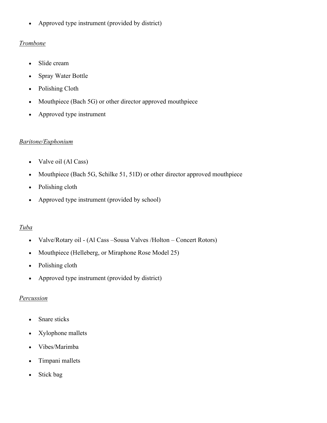• Approved type instrument (provided by district)

#### *Trombone*

- Slide cream
- Spray Water Bottle
- Polishing Cloth
- Mouthpiece (Bach 5G) or other director approved mouthpiece
- Approved type instrument

#### *Baritone/Euphonium*

- Valve oil (Al Cass)
- Mouthpiece (Bach 5G, Schilke 51, 51D) or other director approved mouthpiece
- Polishing cloth
- Approved type instrument (provided by school)

#### *Tuba*

- Valve/Rotary oil (Al Cass Sousa Valves / Holton Concert Rotors)
- Mouthpiece (Helleberg, or Miraphone Rose Model 25)
- Polishing cloth
- Approved type instrument (provided by district)

#### *Percussion*

- Snare sticks
- Xylophone mallets
- Vibes/Marimba
- Timpani mallets
- Stick bag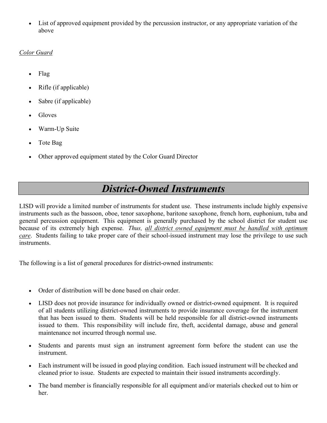List of approved equipment provided by the percussion instructor, or any appropriate variation of the above

#### *Color Guard*

- Flag
- Rifle (if applicable)
- Sabre (if applicable)
- Gloves
- Warm-Up Suite
- Tote Bag
- Other approved equipment stated by the Color Guard Director

# *District-Owned Instruments*

LISD will provide a limited number of instruments for student use. These instruments include highly expensive instruments such as the bassoon, oboe, tenor saxophone, baritone saxophone, french horn, euphonium, tuba and general percussion equipment. This equipment is generally purchased by the school district for student use because of its extremely high expense. *Thus, all district owned equipment must be handled with optimum care*. Students failing to take proper care of their school-issued instrument may lose the privilege to use such instruments.

The following is a list of general procedures for district-owned instruments:

- Order of distribution will be done based on chair order.
- LISD does not provide insurance for individually owned or district-owned equipment. It is required of all students utilizing district-owned instruments to provide insurance coverage for the instrument that has been issued to them. Students will be held responsible for all district-owned instruments issued to them. This responsibility will include fire, theft, accidental damage, abuse and general maintenance not incurred through normal use.
- Students and parents must sign an instrument agreement form before the student can use the instrument.
- Each instrument will be issued in good playing condition. Each issued instrument will be checked and cleaned prior to issue. Students are expected to maintain their issued instruments accordingly.
- The band member is financially responsible for all equipment and/or materials checked out to him or her.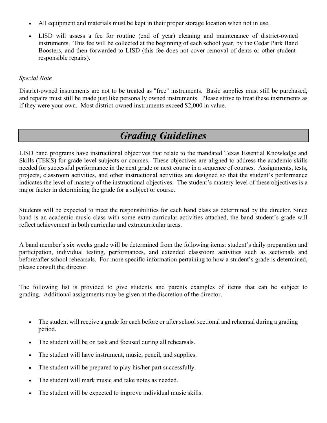- All equipment and materials must be kept in their proper storage location when not in use.
- LISD will assess a fee for routine (end of year) cleaning and maintenance of district-owned instruments. This fee will be collected at the beginning of each school year, by the Cedar Park Band Boosters, and then forwarded to LISD (this fee does not cover removal of dents or other studentresponsible repairs).

#### *Special Note*

District-owned instruments are not to be treated as "free" instruments. Basic supplies must still be purchased, and repairs must still be made just like personally owned instruments. Please strive to treat these instruments as if they were your own. Most district-owned instruments exceed \$2,000 in value.

# *Grading Guidelines*

LISD band programs have instructional objectives that relate to the mandated Texas Essential Knowledge and Skills (TEKS) for grade level subjects or courses. These objectives are aligned to address the academic skills needed for successful performance in the next grade or next course in a sequence of courses. Assignments, tests, projects, classroom activities, and other instructional activities are designed so that the student's performance indicates the level of mastery of the instructional objectives. The student's mastery level of these objectives is a major factor in determining the grade for a subject or course.

Students will be expected to meet the responsibilities for each band class as determined by the director. Since band is an academic music class with some extra-curricular activities attached, the band student's grade will reflect achievement in both curricular and extracurricular areas.

A band member's six weeks grade will be determined from the following items: student's daily preparation and participation, individual testing, performances, and extended classroom activities such as sectionals and before/after school rehearsals. For more specific information pertaining to how a student's grade is determined, please consult the director.

The following list is provided to give students and parents examples of items that can be subject to grading. Additional assignments may be given at the discretion of the director.

- The student will receive a grade for each before or after school sectional and rehearsal during a grading period.
- The student will be on task and focused during all rehearsals.
- The student will have instrument, music, pencil, and supplies.
- The student will be prepared to play his/her part successfully.
- The student will mark music and take notes as needed.
- The student will be expected to improve individual music skills.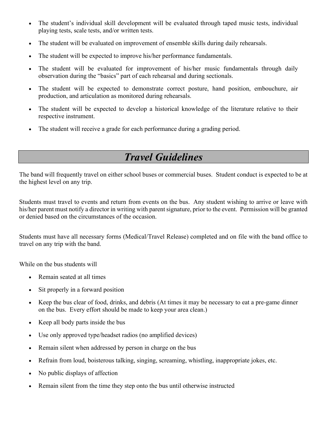- The student's individual skill development will be evaluated through taped music tests, individual playing tests, scale tests, and/or written tests.
- The student will be evaluated on improvement of ensemble skills during daily rehearsals.
- The student will be expected to improve his/her performance fundamentals.
- The student will be evaluated for improvement of his/her music fundamentals through daily observation during the "basics" part of each rehearsal and during sectionals.
- The student will be expected to demonstrate correct posture, hand position, embouchure, air production, and articulation as monitored during rehearsals.
- The student will be expected to develop a historical knowledge of the literature relative to their respective instrument.
- The student will receive a grade for each performance during a grading period.

# *Travel Guidelines*

The band will frequently travel on either school buses or commercial buses. Student conduct is expected to be at the highest level on any trip.

Students must travel to events and return from events on the bus. Any student wishing to arrive or leave with his/her parent must notify a director in writing with parent signature, prior to the event. Permission will be granted or denied based on the circumstances of the occasion.

Students must have all necessary forms (Medical/Travel Release) completed and on file with the band office to travel on any trip with the band.

While on the bus students will

- Remain seated at all times
- Sit properly in a forward position
- Keep the bus clear of food, drinks, and debris (At times it may be necessary to eat a pre-game dinner on the bus. Every effort should be made to keep your area clean.)
- Keep all body parts inside the bus
- Use only approved type/headset radios (no amplified devices)
- Remain silent when addressed by person in charge on the bus
- Refrain from loud, boisterous talking, singing, screaming, whistling, inappropriate jokes, etc.
- No public displays of affection
- Remain silent from the time they step onto the bus until otherwise instructed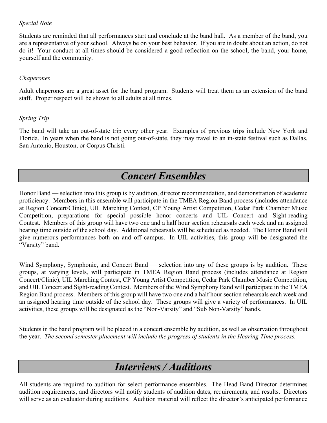#### *Special Note*

Students are reminded that all performances start and conclude at the band hall. As a member of the band, you are a representative of your school. Always be on your best behavior. If you are in doubt about an action, do not do it! Your conduct at all times should be considered a good reflection on the school, the band, your home, yourself and the community.

#### *Chaperones*

Adult chaperones are a great asset for the band program. Students will treat them as an extension of the band staff. Proper respect will be shown to all adults at all times.

#### *Spring Trip*

The band will take an out-of-state trip every other year. Examples of previous trips include New York and Florida. In years when the band is not going out-of-state, they may travel to an in-state festival such as Dallas, San Antonio, Houston, or Corpus Christi.

### *Concert Ensembles*

Honor Band –– selection into this group is by audition, director recommendation, and demonstration of academic proficiency. Members in this ensemble will participate in the TMEA Region Band process (includes attendance at Region Concert/Clinic), UIL Marching Contest, CP Young Artist Competition, Cedar Park Chamber Music Competition, preparations for special possible honor concerts and UIL Concert and Sight-reading Contest. Members of this group will have two one and a half hour section rehearsals each week and an assigned hearing time outside of the school day. Additional rehearsals will be scheduled as needed. The Honor Band will give numerous performances both on and off campus. In UIL activities, this group will be designated the "Varsity" band.

Wind Symphony, Symphonic, and Concert Band — selection into any of these groups is by audition. These groups, at varying levels, will participate in TMEA Region Band process (includes attendance at Region Concert/Clinic), UIL Marching Contest, CP Young Artist Competition, Cedar Park Chamber Music Competition, and UIL Concert and Sight-reading Contest. Members of the Wind Symphony Band will participate in the TMEA Region Band process. Members of this group will have two one and a half hour section rehearsals each week and an assigned hearing time outside of the school day. These groups will give a variety of performances. In UIL activities, these groups will be designated as the "Non-Varsity" and "Sub Non-Varsity" bands.

Students in the band program will be placed in a concert ensemble by audition, as well as observation throughout the year. *The second semester placement will include the progress of students in the Hearing Time process.*

# *Interviews / Auditions*

All students are required to audition for select performance ensembles. The Head Band Director determines audition requirements, and directors will notify students of audition dates, requirements, and results. Directors will serve as an evaluator during auditions. Audition material will reflect the director's anticipated performance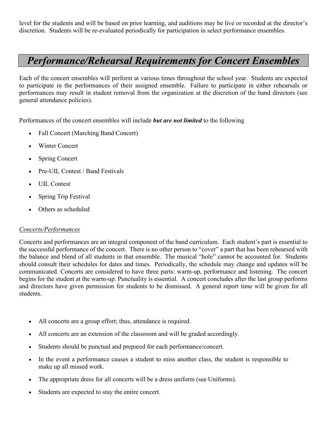level for the students and will be based on prior learning, and auditions may be live or recorded at the director's discretion. Students will be re-evaluated periodically for participation in select performance ensembles.

# *Performance/Rehearsal Requirements for Concert Ensembles*

Each of the concert ensembles will perform at various times throughout the school year. Students are expected to participate in the performances of their assigned ensemble. Failure to participate in either rehearsals or performances may result in student removal from the organization at the discretion of the band directors (see general attendance policies).

Performances of the concert ensembles will include *but are not limited* to the following

- Fall Concert (Marching Band Concert)
- Winter Concert
- Spring Concert
- Pre-UIL Contest / Band Festivals
- UIL Contest
- Spring Trip Festival
- Others as scheduled

#### *Concerts/Performances*

Concerts and performances are an integral component of the band curriculum. Each student's part is essential to the successful performance of the concert. There is no other person to "cover" a part that has been rehearsed with the balance and blend of all students in that ensemble. The musical "hole" cannot be accounted for. Students should consult their schedules for dates and times. Periodically, the schedule may change and updates will be communicated. Concerts are considered to have three parts: warm-up, performance and listening. The concert begins for the student at the warm-up. Punctuality is essential. A concert concludes after the last group performs and directors have given permission for students to be dismissed. A general report time will be given for all students.

- All concerts are a group effort; thus, attendance is required.
- All concerts are an extension of the classroom and will be graded accordingly.
- Students should be punctual and prepared for each performance/concert.
- In the event a performance causes a student to miss another class, the student is responsible to make up all missed work.
- The appropriate dress for all concerts will be a dress uniform (see Uniforms).
- Students are expected to stay the entire concert.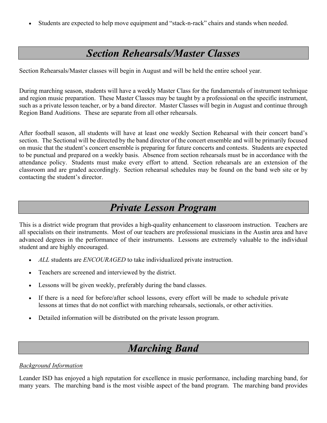Students are expected to help move equipment and "stack-n-rack" chairs and stands when needed.

# *Section Rehearsals/Master Classes*

Section Rehearsals/Master classes will begin in August and will be held the entire school year.

During marching season, students will have a weekly Master Class for the fundamentals of instrument technique and region music preparation. These Master Classes may be taught by a professional on the specific instrument, such as a private lesson teacher, or by a band director. Master Classes will begin in August and continue through Region Band Auditions. These are separate from all other rehearsals.

After football season, all students will have at least one weekly Section Rehearsal with their concert band's section. The Sectional will be directed by the band director of the concert ensemble and will be primarily focused on music that the student's concert ensemble is preparing for future concerts and contests. Students are expected to be punctual and prepared on a weekly basis. Absence from section rehearsals must be in accordance with the attendance policy. Students must make every effort to attend. Section rehearsals are an extension of the classroom and are graded accordingly. Section rehearsal schedules may be found on the band web site or by contacting the student's director.

### *Private Lesson Program*

This is a district wide program that provides a high-quality enhancement to classroom instruction. Teachers are all specialists on their instruments. Most of our teachers are professional musicians in the Austin area and have advanced degrees in the performance of their instruments. Lessons are extremely valuable to the individual student and are highly encouraged.

- *ALL* students are *ENCOURAGED* to take individualized private instruction.
- Teachers are screened and interviewed by the district.
- Lessons will be given weekly, preferably during the band classes.
- If there is a need for before/after school lessons, every effort will be made to schedule private lessons at times that do not conflict with marching rehearsals, sectionals, or other activities.
- Detailed information will be distributed on the private lesson program.

### *Marching Band*

#### *Background Information*

Leander ISD has enjoyed a high reputation for excellence in music performance, including marching band, for many years. The marching band is the most visible aspect of the band program. The marching band provides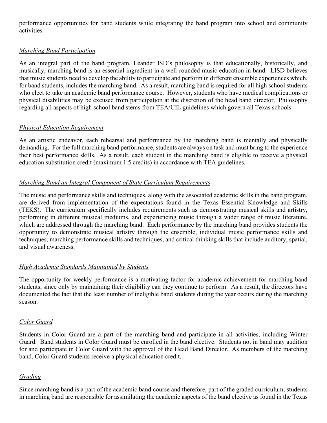performance opportunities for band students while integrating the band program into school and community activities.

#### *Marching Band Participation*

As an integral part of the band program, Leander ISD's philosophy is that educationally, historically, and musically, marching band is an essential ingredient in a well-rounded music education in band. LISD believes that music students need to develop the ability to participate and perform in different ensemble experiences which, for band students, includes the marching band. As a result, marching band is required for all high school students who elect to take an academic band performance course. However, students who have medical complications or physical disabilities may be excused from participation at the discretion of the head band director. Philosophy regarding all aspects of high school band stems from TEA/UIL guidelines which govern all Texas schools.

#### *Physical Education Requirement*

As an artistic endeavor, each rehearsal and performance by the marching band is mentally and physically demanding. For the full marching band performance, students are always on task and must bring to the experience their best performance skills. As a result, each student in the marching band is eligible to receive a physical education substitution credit (maximum 1.5 credits) in accordance with TEA guidelines.

#### *Marching Band an Integral Component of State Curriculum Requirements*

The music and performance skills and techniques, along with the associated academic skills in the band program, are derived from implementation of the expectations found in the Texas Essential Knowledge and Skills (TEKS). The curriculum specifically includes requirements such as demonstrating musical skills and artistry, performing in different musical mediums, and experiencing music through a wider range of music literature, which are addressed through the marching band. Each performance by the marching band provides students the opportunity to demonstrate musical artistry through the ensemble, individual music performance skills and techniques, marching performance skills and techniques, and critical thinking skills that include auditory, spatial, and visual awareness.

#### *High Academic Standards Maintained by Students*

The opportunity for weekly performance is a motivating factor for academic achievement for marching band students, since only by maintaining their eligibility can they continue to perform. As a result, the directors have documented the fact that the least number of ineligible band students during the year occurs during the marching season.

#### *Color Guard*

Students in Color Guard are a part of the marching band and participate in all activities, including Winter Guard. Band students in Color Guard must be enrolled in the band elective. Students not in band may audition for and participate in Color Guard with the approval of the Head Band Director. As members of the marching band, Color Guard students receive a physical education credit.

#### *Grading*

Since marching band is a part of the academic band course and therefore, part of the graded curriculum, students in marching band are responsible for assimilating the academic aspects of the band elective as found in the Texas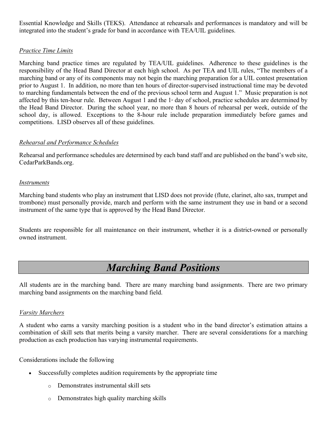Essential Knowledge and Skills (TEKS). Attendance at rehearsals and performances is mandatory and will be integrated into the student's grade for band in accordance with TEA/UIL guidelines.

#### *Practice Time Limits*

Marching band practice times are regulated by TEA/UIL guidelines. Adherence to these guidelines is the responsibility of the Head Band Director at each high school. As per TEA and UIL rules, "The members of a marching band or any of its components may not begin the marching preparation for a UIL contest presentation prior to August 1. In addition, no more than ten hours of director-supervised instructional time may be devoted to marching fundamentals between the end of the previous school term and August 1." Music preparation is not affected by this ten-hour rule. Between August 1 and the  $1$ <sup>st</sup> day of school, practice schedules are determined by the Head Band Director. During the school year, no more than 8 hours of rehearsal per week, outside of the school day, is allowed. Exceptions to the 8-hour rule include preparation immediately before games and competitions. LISD observes all of these guidelines.

#### *Rehearsal and Performance Schedules*

Rehearsal and performance schedules are determined by each band staff and are published on the band's web site, CedarParkBands.org.

#### *Instruments*

Marching band students who play an instrument that LISD does not provide (flute, clarinet, alto sax, trumpet and trombone) must personally provide, march and perform with the same instrument they use in band or a second instrument of the same type that is approved by the Head Band Director.

Students are responsible for all maintenance on their instrument, whether it is a district-owned or personally owned instrument.

# *Marching Band Positions*

All students are in the marching band. There are many marching band assignments. There are two primary marching band assignments on the marching band field.

#### *Varsity Marchers*

A student who earns a varsity marching position is a student who in the band director's estimation attains a combination of skill sets that merits being a varsity marcher. There are several considerations for a marching production as each production has varying instrumental requirements.

Considerations include the following

- Successfully completes audition requirements by the appropriate time
	- o Demonstrates instrumental skill sets
	- o Demonstrates high quality marching skills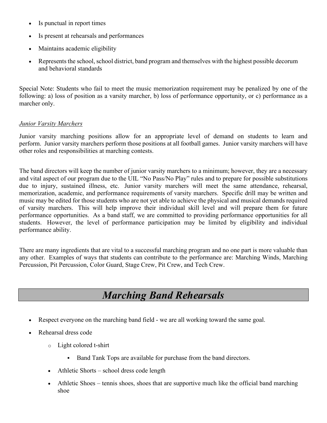- Is punctual in report times
- Is present at rehearsals and performances
- Maintains academic eligibility
- Represents the school, school district, band program and themselves with the highest possible decorum and behavioral standards

Special Note: Students who fail to meet the music memorization requirement may be penalized by one of the following: a) loss of position as a varsity marcher, b) loss of performance opportunity, or c) performance as a marcher only.

#### *Junior Varsity Marchers*

Junior varsity marching positions allow for an appropriate level of demand on students to learn and perform. Junior varsity marchers perform those positions at all football games. Junior varsity marchers will have other roles and responsibilities at marching contests.

The band directors will keep the number of junior varsity marchers to a minimum; however, they are a necessary and vital aspect of our program due to the UIL "No Pass/No Play" rules and to prepare for possible substitutions due to injury, sustained illness, etc. Junior varsity marchers will meet the same attendance, rehearsal, memorization, academic, and performance requirements of varsity marchers. Specific drill may be written and music may be edited for those students who are not yet able to achieve the physical and musical demands required of varsity marchers. This will help improve their individual skill level and will prepare them for future performance opportunities. As a band staff, we are committed to providing performance opportunities for all students. However, the level of performance participation may be limited by eligibility and individual performance ability.

There are many ingredients that are vital to a successful marching program and no one part is more valuable than any other. Examples of ways that students can contribute to the performance are: Marching Winds, Marching Percussion, Pit Percussion, Color Guard, Stage Crew, Pit Crew, and Tech Crew.

# *Marching Band Rehearsals*

- Respect everyone on the marching band field we are all working toward the same goal.
- Rehearsal dress code
	- o Light colored t-shirt
		- Band Tank Tops are available for purchase from the band directors.
	- Athletic Shorts school dress code length
	- Athletic Shoes tennis shoes, shoes that are supportive much like the official band marching shoe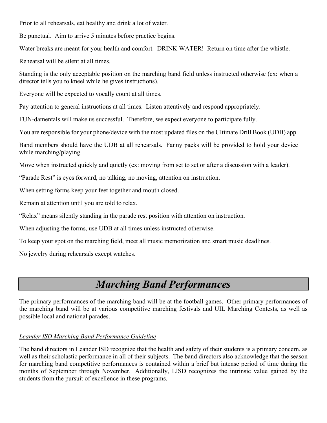Prior to all rehearsals, eat healthy and drink a lot of water.

Be punctual. Aim to arrive 5 minutes before practice begins.

Water breaks are meant for your health and comfort. DRINK WATER! Return on time after the whistle.

Rehearsal will be silent at all times.

Standing is the only acceptable position on the marching band field unless instructed otherwise (ex: when a director tells you to kneel while he gives instructions).

Everyone will be expected to vocally count at all times.

Pay attention to general instructions at all times. Listen attentively and respond appropriately.

FUN-damentals will make us successful. Therefore, we expect everyone to participate fully.

You are responsible for your phone/device with the most updated files on the Ultimate Drill Book (UDB) app.

Band members should have the UDB at all rehearsals. Fanny packs will be provided to hold your device while marching/playing.

Move when instructed quickly and quietly (ex: moving from set to set or after a discussion with a leader).

"Parade Rest" is eyes forward, no talking, no moving, attention on instruction.

When setting forms keep your feet together and mouth closed.

Remain at attention until you are told to relax.

"Relax" means silently standing in the parade rest position with attention on instruction.

When adjusting the forms, use UDB at all times unless instructed otherwise.

To keep your spot on the marching field, meet all music memorization and smart music deadlines.

No jewelry during rehearsals except watches.

# *Marching Band Performances*

The primary performances of the marching band will be at the football games. Other primary performances of the marching band will be at various competitive marching festivals and UIL Marching Contests, as well as possible local and national parades.

#### *Leander ISD Marching Band Performance Guideline*

The band directors in Leander ISD recognize that the health and safety of their students is a primary concern, as well as their scholastic performance in all of their subjects. The band directors also acknowledge that the season for marching band competitive performances is contained within a brief but intense period of time during the months of September through November. Additionally, LISD recognizes the intrinsic value gained by the students from the pursuit of excellence in these programs.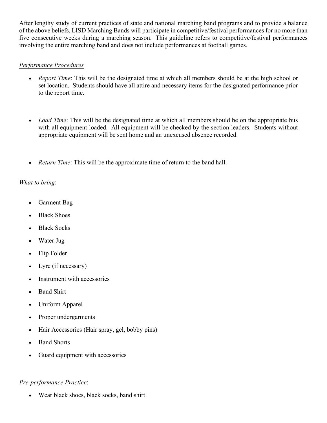After lengthy study of current practices of state and national marching band programs and to provide a balance of the above beliefs, LISD Marching Bands will participate in competitive/festival performances for no more than five consecutive weeks during a marching season. This guideline refers to competitive/festival performances involving the entire marching band and does not include performances at football games.

#### *Performance Procedures*

- *Report Time*: This will be the designated time at which all members should be at the high school or set location. Students should have all attire and necessary items for the designated performance prior to the report time.
- *Load Time*: This will be the designated time at which all members should be on the appropriate bus with all equipment loaded. All equipment will be checked by the section leaders. Students without appropriate equipment will be sent home and an unexcused absence recorded.
- *Return Time*: This will be the approximate time of return to the band hall.

#### *What to bring*:

- Garment Bag
- Black Shoes
- Black Socks
- Water Jug
- Flip Folder
- Lyre (if necessary)
- Instrument with accessories
- Band Shirt
- Uniform Apparel
- Proper undergarments
- Hair Accessories (Hair spray, gel, bobby pins)
- **Band Shorts**
- Guard equipment with accessories

#### *Pre-performance Practice*:

• Wear black shoes, black socks, band shirt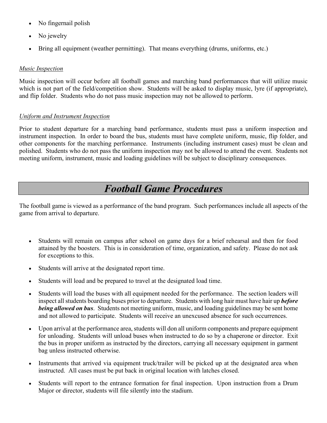- No fingernail polish
- No jewelry
- Bring all equipment (weather permitting). That means everything (drums, uniforms, etc.)

#### *Music Inspection*

Music inspection will occur before all football games and marching band performances that will utilize music which is not part of the field/competition show. Students will be asked to display music, lyre (if appropriate), and flip folder. Students who do not pass music inspection may not be allowed to perform.

#### *Uniform and Instrument Inspection*

Prior to student departure for a marching band performance, students must pass a uniform inspection and instrument inspection. In order to board the bus, students must have complete uniform, music, flip folder, and other components for the marching performance. Instruments (including instrument cases) must be clean and polished. Students who do not pass the uniform inspection may not be allowed to attend the event. Students not meeting uniform, instrument, music and loading guidelines will be subject to disciplinary consequences.

### *Football Game Procedures*

The football game is viewed as a performance of the band program. Such performances include all aspects of the game from arrival to departure.

- Students will remain on campus after school on game days for a brief rehearsal and then for food attained by the boosters. This is in consideration of time, organization, and safety. Please do not ask for exceptions to this.
- Students will arrive at the designated report time.
- Students will load and be prepared to travel at the designated load time.
- Students will load the buses with all equipment needed for the performance. The section leaders will inspect all students boarding buses prior to departure. Students with long hair must have hair up *before being allowed on bus*. Students not meeting uniform, music, and loading guidelines may be sent home and not allowed to participate. Students will receive an unexcused absence for such occurrences.
- Upon arrival at the performance area, students will don all uniform components and prepare equipment for unloading. Students will unload buses when instructed to do so by a chaperone or director. Exit the bus in proper uniform as instructed by the directors, carrying all necessary equipment in garment bag unless instructed otherwise.
- Instruments that arrived via equipment truck/trailer will be picked up at the designated area when instructed. All cases must be put back in original location with latches closed.
- Students will report to the entrance formation for final inspection. Upon instruction from a Drum Major or director, students will file silently into the stadium.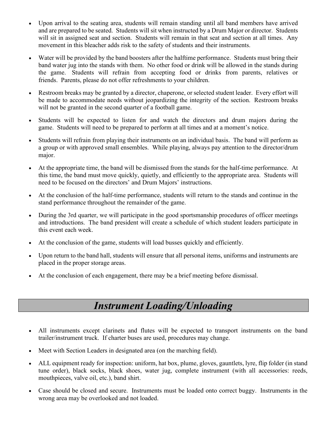- Upon arrival to the seating area, students will remain standing until all band members have arrived and are prepared to be seated. Students will sit when instructed by a Drum Major or director. Students will sit in assigned seat and section. Students will remain in that seat and section at all times. Any movement in this bleacher adds risk to the safety of students and their instruments.
- Water will be provided by the band boosters after the halftime performance. Students must bring their band water jug into the stands with them. No other food or drink will be allowed in the stands during the game. Students will refrain from accepting food or drinks from parents, relatives or friends. Parents, please do not offer refreshments to your children.
- Restroom breaks may be granted by a director, chaperone, or selected student leader. Every effort will be made to accommodate needs without jeopardizing the integrity of the section. Restroom breaks will not be granted in the second quarter of a football game.
- Students will be expected to listen for and watch the directors and drum majors during the game. Students will need to be prepared to perform at all times and at a moment's notice.
- Students will refrain from playing their instruments on an individual basis. The band will perform as a group or with approved small ensembles. While playing, always pay attention to the director/drum major.
- At the appropriate time, the band will be dismissed from the stands for the half-time performance. At this time, the band must move quickly, quietly, and efficiently to the appropriate area. Students will need to be focused on the directors' and Drum Majors' instructions.
- At the conclusion of the half-time performance, students will return to the stands and continue in the stand performance throughout the remainder of the game.
- During the 3rd quarter, we will participate in the good sportsmanship procedures of officer meetings and introductions. The band president will create a schedule of which student leaders participate in this event each week.
- At the conclusion of the game, students will load busses quickly and efficiently.
- Upon return to the band hall, students will ensure that all personal items, uniforms and instruments are placed in the proper storage areas.
- At the conclusion of each engagement, there may be a brief meeting before dismissal.

# *Instrument Loading/Unloading*

- All instruments except clarinets and flutes will be expected to transport instruments on the band trailer/instrument truck. If charter buses are used, procedures may change.
- Meet with Section Leaders in designated area (on the marching field).
- ALL equipment ready for inspection: uniform, hat box, plume, gloves, gauntlets, lyre, flip folder (in stand tune order), black socks, black shoes, water jug, complete instrument (with all accessories: reeds, mouthpieces, valve oil, etc.), band shirt.
- Case should be closed and secure. Instruments must be loaded onto correct buggy. Instruments in the wrong area may be overlooked and not loaded.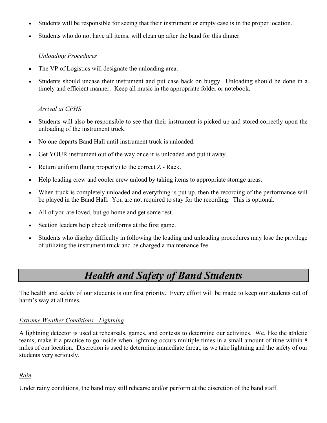- Students will be responsible for seeing that their instrument or empty case is in the proper location.
- Students who do not have all items, will clean up after the band for this dinner.

#### *Unloading Procedures*

- The VP of Logistics will designate the unloading area.
- Students should uncase their instrument and put case back on buggy. Unloading should be done in a timely and efficient manner. Keep all music in the appropriate folder or notebook.

#### *Arrival at CPHS*

- Students will also be responsible to see that their instrument is picked up and stored correctly upon the unloading of the instrument truck.
- No one departs Band Hall until instrument truck is unloaded.
- Get YOUR instrument out of the way once it is unloaded and put it away.
- Return uniform (hung properly) to the correct  $Z$  Rack.
- Help loading crew and cooler crew unload by taking items to appropriate storage areas.
- When truck is completely unloaded and everything is put up, then the recording of the performance will be played in the Band Hall. You are not required to stay for the recording. This is optional.
- All of you are loved, but go home and get some rest.
- Section leaders help check uniforms at the first game.
- Students who display difficulty in following the loading and unloading procedures may lose the privilege of utilizing the instrument truck and be charged a maintenance fee.

### *Health and Safety of Band Students*

The health and safety of our students is our first priority. Every effort will be made to keep our students out of harm's way at all times.

#### *Extreme Weather Conditions - Lightning*

A lightning detector is used at rehearsals, games, and contests to determine our activities. We, like the athletic teams, make it a practice to go inside when lightning occurs multiple times in a small amount of time within 8 miles of our location. Discretion is used to determine immediate threat, as we take lightning and the safety of our students very seriously.

#### *Rain*

Under rainy conditions, the band may still rehearse and/or perform at the discretion of the band staff.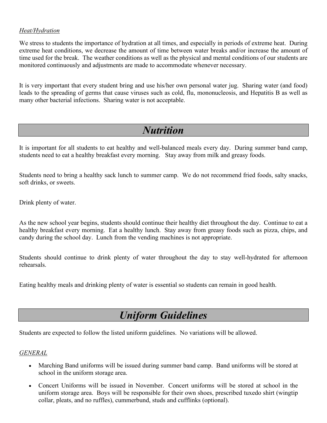#### *Heat/Hydration*

We stress to students the importance of hydration at all times, and especially in periods of extreme heat. During extreme heat conditions, we decrease the amount of time between water breaks and/or increase the amount of time used for the break. The weather conditions as well as the physical and mental conditions of our students are monitored continuously and adjustments are made to accommodate whenever necessary.

It is very important that every student bring and use his/her own personal water jug. Sharing water (and food) leads to the spreading of germs that cause viruses such as cold, flu, mononucleosis, and Hepatitis B as well as many other bacterial infections. Sharing water is not acceptable.

# *Nutrition*

It is important for all students to eat healthy and well-balanced meals every day. During summer band camp, students need to eat a healthy breakfast every morning. Stay away from milk and greasy foods.

Students need to bring a healthy sack lunch to summer camp. We do not recommend fried foods, salty snacks, soft drinks, or sweets.

Drink plenty of water.

As the new school year begins, students should continue their healthy diet throughout the day. Continue to eat a healthy breakfast every morning. Eat a healthy lunch. Stay away from greasy foods such as pizza, chips, and candy during the school day. Lunch from the vending machines is not appropriate.

Students should continue to drink plenty of water throughout the day to stay well-hydrated for afternoon rehearsals.

Eating healthy meals and drinking plenty of water is essential so students can remain in good health.

# *Uniform Guidelines*

Students are expected to follow the listed uniform guidelines. No variations will be allowed.

#### *GENERAL*

- Marching Band uniforms will be issued during summer band camp. Band uniforms will be stored at school in the uniform storage area.
- Concert Uniforms will be issued in November. Concert uniforms will be stored at school in the uniform storage area. Boys will be responsible for their own shoes, prescribed tuxedo shirt (wingtip collar, pleats, and no ruffles), cummerbund, studs and cufflinks (optional).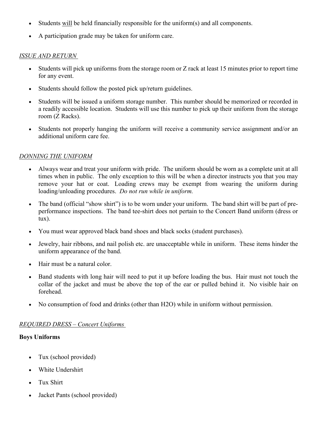- Students will be held financially responsible for the uniform(s) and all components.
- A participation grade may be taken for uniform care.

#### *ISSUE AND RETURN*

- Students will pick up uniforms from the storage room or Z rack at least 15 minutes prior to report time for any event.
- Students should follow the posted pick up/return guidelines.
- Students will be issued a uniform storage number. This number should be memorized or recorded in a readily accessible location. Students will use this number to pick up their uniform from the storage room (Z Racks).
- Students not properly hanging the uniform will receive a community service assignment and/or an additional uniform care fee.

#### *DONNING THE UNIFORM*

- Always wear and treat your uniform with pride. The uniform should be worn as a complete unit at all times when in public. The only exception to this will be when a director instructs you that you may remove your hat or coat. Loading crews may be exempt from wearing the uniform during loading/unloading procedures. *Do not run while in uniform.*
- The band (official "show shirt") is to be worn under your uniform. The band shirt will be part of preperformance inspections. The band tee-shirt does not pertain to the Concert Band uniform (dress or tux).
- You must wear approved black band shoes and black socks (student purchases).
- Jewelry, hair ribbons, and nail polish etc. are unacceptable while in uniform. These items hinder the uniform appearance of the band.
- Hair must be a natural color.
- Band students with long hair will need to put it up before loading the bus. Hair must not touch the collar of the jacket and must be above the top of the ear or pulled behind it. No visible hair on forehead.
- No consumption of food and drinks (other than H2O) while in uniform without permission.

#### *REQUIRED DRESS – Concert Uniforms*

#### **Boys Uniforms**

- Tux (school provided)
- White Undershirt
- Tux Shirt
- Jacket Pants (school provided)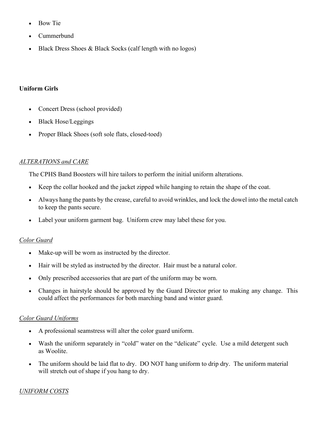- Bow Tie
- Cummerbund
- Black Dress Shoes & Black Socks (calf length with no logos)

#### **Uniform Girls**

- Concert Dress (school provided)
- Black Hose/Leggings
- Proper Black Shoes (soft sole flats, closed-toed)

#### *ALTERATIONS and CARE*

The CPHS Band Boosters will hire tailors to perform the initial uniform alterations.

- Keep the collar hooked and the jacket zipped while hanging to retain the shape of the coat.
- Always hang the pants by the crease, careful to avoid wrinkles, and lock the dowel into the metal catch to keep the pants secure.
- Label your uniform garment bag. Uniform crew may label these for you.

#### *Color Guard*

- Make-up will be worn as instructed by the director.
- Hair will be styled as instructed by the director. Hair must be a natural color.
- Only prescribed accessories that are part of the uniform may be worn.
- Changes in hairstyle should be approved by the Guard Director prior to making any change. This could affect the performances for both marching band and winter guard.

#### *Color Guard Uniforms*

- A professional seamstress will alter the color guard uniform.
- Wash the uniform separately in "cold" water on the "delicate" cycle. Use a mild detergent such as Woolite.
- The uniform should be laid flat to dry. DO NOT hang uniform to drip dry. The uniform material will stretch out of shape if you hang to dry.

#### *UNIFORM COSTS*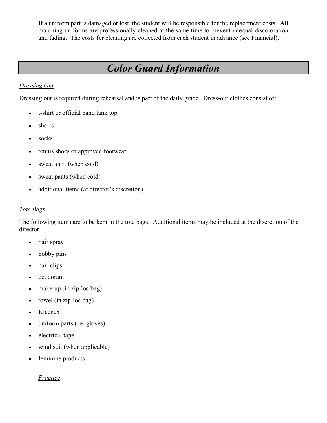If a uniform part is damaged or lost, the student will be responsible for the replacement costs. All marching uniforms are professionally cleaned at the same time to prevent unequal discoloration and fading. The costs for cleaning are collected from each student in advance (see Financial).

# *Color Guard Information*

#### *Dressing Out*

Dressing out is required during rehearsal and is part of the daily grade. Dress-out clothes consist of:

- t-shirt or official band tank top
- shorts
- socks
- tennis shoes or approved footwear
- sweat shirt (when cold)
- sweat pants (when cold)
- additional items (at director's discretion)

#### *Tote Bags*

The following items are to be kept in the tote bags. Additional items may be included at the discretion of the director.

- hair spray
- bobby pins
- hair clips
- deodorant
- make-up (in zip-loc bag)
- towel (in zip-loc bag)
- Kleenex
- uniform parts (i.e. gloves)
- electrical tape
- wind suit (when applicable)
- feminine products

#### *Practice*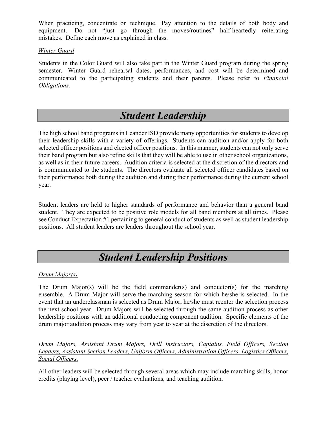When practicing, concentrate on technique. Pay attention to the details of both body and equipment. Do not "just go through the moves/routines" half-heartedly reiterating mistakes. Define each move as explained in class.

#### *Winter Guard*

Students in the Color Guard will also take part in the Winter Guard program during the spring semester. Winter Guard rehearsal dates, performances, and cost will be determined and communicated to the participating students and their parents. Please refer to *Financial Obligations.*

### *Student Leadership*

The high school band programs in Leander ISD provide many opportunities for students to develop their leadership skills with a variety of offerings. Students can audition and/or apply for both selected officer positions and elected officer positions. In this manner, students can not only serve their band program but also refine skills that they will be able to use in other school organizations, as well as in their future careers. Audition criteria is selected at the discretion of the directors and is communicated to the students. The directors evaluate all selected officer candidates based on their performance both during the audition and during their performance during the current school year.

Student leaders are held to higher standards of performance and behavior than a general band student. They are expected to be positive role models for all band members at all times. Please see Conduct Expectation #1 pertaining to general conduct of students as well as student leadership positions. All student leaders are leaders throughout the school year.

# *Student Leadership Positions*

#### *Drum Major(s)*

The Drum Major(s) will be the field commander(s) and conductor(s) for the marching ensemble. A Drum Major will serve the marching season for which he/she is selected. In the event that an underclassman is selected as Drum Major, he/she must reenter the selection process the next school year. Drum Majors will be selected through the same audition process as other leadership positions with an additional conducting component audition. Specific elements of the drum major audition process may vary from year to year at the discretion of the directors.

*Drum Majors, Assistant Drum Majors, Drill Instructors, Captains, Field Officers, Section Leaders, Assistant Section Leaders, Uniform Officers, Administration Officers, Logistics Officers, Social Officers.*

All other leaders will be selected through several areas which may include marching skills, honor credits (playing level), peer / teacher evaluations, and teaching audition.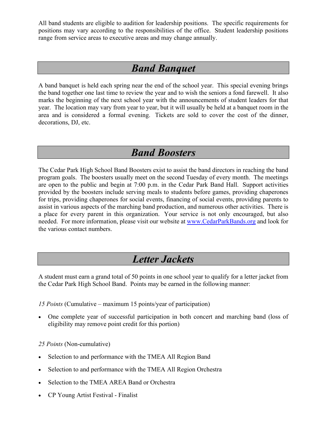All band students are eligible to audition for leadership positions. The specific requirements for positions may vary according to the responsibilities of the office. Student leadership positions range from service areas to executive areas and may change annually.

### *Band Banquet*

A band banquet is held each spring near the end of the school year. This special evening brings the band together one last time to review the year and to wish the seniors a fond farewell. It also marks the beginning of the next school year with the announcements of student leaders for that year. The location may vary from year to year, but it will usually be held at a banquet room in the area and is considered a formal evening. Tickets are sold to cover the cost of the dinner, decorations, DJ, etc.

### *Band Boosters*

The Cedar Park High School Band Boosters exist to assist the band directors in reaching the band program goals. The boosters usually meet on the second Tuesday of every month. The meetings are open to the public and begin at 7:00 p.m. in the Cedar Park Band Hall. Support activities provided by the boosters include serving meals to students before games, providing chaperones for trips, providing chaperones for social events, financing of social events, providing parents to assist in various aspects of the marching band production, and numerous other activities. There is a place for every parent in this organization. Your service is not only encouraged, but also needed. For more information, please visit our website at [www.CedarParkBands.org](http://www.cphsband.org/) and look for the various contact numbers.

### *Letter Jackets*

A student must earn a grand total of 50 points in one school year to qualify for a letter jacket from the Cedar Park High School Band. Points may be earned in the following manner:

*15 Points* (Cumulative – maximum 15 points/year of participation)

• One complete year of successful participation in both concert and marching band (loss of eligibility may remove point credit for this portion)

*25 Points* (Non-cumulative)

- Selection to and performance with the TMEA All Region Band
- Selection to and performance with the TMEA All Region Orchestra
- Selection to the TMEA AREA Band or Orchestra
- CP Young Artist Festival Finalist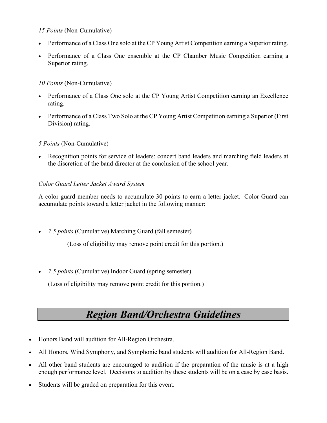#### *15 Points* (Non-Cumulative)

- Performance of a Class One solo at the CP Young Artist Competition earning a Superior rating.
- Performance of a Class One ensemble at the CP Chamber Music Competition earning a Superior rating.

#### *10 Points* (Non-Cumulative)

- Performance of a Class One solo at the CP Young Artist Competition earning an Excellence rating.
- Performance of a Class Two Solo at the CP Young Artist Competition earning a Superior (First Division) rating.

#### *5 Points* (Non-Cumulative)

• Recognition points for service of leaders: concert band leaders and marching field leaders at the discretion of the band director at the conclusion of the school year.

#### *Color Guard Letter Jacket Award System*

A color guard member needs to accumulate 30 points to earn a letter jacket. Color Guard can accumulate points toward a letter jacket in the following manner:

• *7.5 points* (Cumulative) Marching Guard (fall semester)

(Loss of eligibility may remove point credit for this portion.)

• *7.5 points* (Cumulative) Indoor Guard (spring semester)

(Loss of eligibility may remove point credit for this portion.)

# *Region Band/Orchestra Guidelines*

- Honors Band will audition for All-Region Orchestra.
- All Honors, Wind Symphony, and Symphonic band students will audition for All-Region Band.
- All other band students are encouraged to audition if the preparation of the music is at a high enough performance level. Decisions to audition by these students will be on a case by case basis.
- Students will be graded on preparation for this event.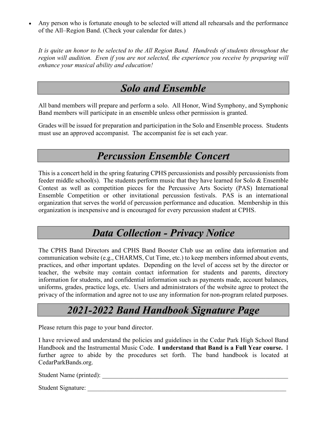Any person who is fortunate enough to be selected will attend all rehearsals and the performance of the All–Region Band. (Check your calendar for dates.)

*It is quite an honor to be selected to the All Region Band. Hundreds of students throughout the region will audition. Even if you are not selected, the experience you receive by preparing will enhance your musical ability and education!*

# *Solo and Ensemble*

All band members will prepare and perform a solo. All Honor, Wind Symphony, and Symphonic Band members will participate in an ensemble unless other permission is granted.

Grades will be issued for preparation and participation in the Solo and Ensemble process. Students must use an approved accompanist. The accompanist fee is set each year.

# *Percussion Ensemble Concert*

This is a concert held in the spring featuring CPHS percussionists and possibly percussionists from feeder middle school(s). The students perform music that they have learned for Solo & Ensemble Contest as well as competition pieces for the Percussive Arts Society (PAS) International Ensemble Competition or other invitational percussion festivals. PAS is an international organization that serves the world of percussion performance and education. Membership in this organization is inexpensive and is encouraged for every percussion student at CPHS.

### *Data Collection - Privacy Notice*

The CPHS Band Directors and CPHS Band Booster Club use an online data information and communication website (e.g., CHARMS, Cut Time, etc.) to keep members informed about events, practices, and other important updates. Depending on the level of access set by the director or teacher, the website may contain contact information for students and parents, directory information for students, and confidential information such as payments made, account balances, uniforms, grades, practice logs, etc. Users and administrators of the website agree to protect the privacy of the information and agree not to use any information for non-program related purposes.

# *2021-2022 Band Handbook Signature Page*

Please return this page to your band director.

I have reviewed and understand the policies and guidelines in the Cedar Park High School Band Handbook and the Instrumental Music Code. **I understand that Band is a Full Year course.** I further agree to abide by the procedures set forth. The band handbook is located at CedarParkBands.org.

Student Name (printed):

Student Signature: